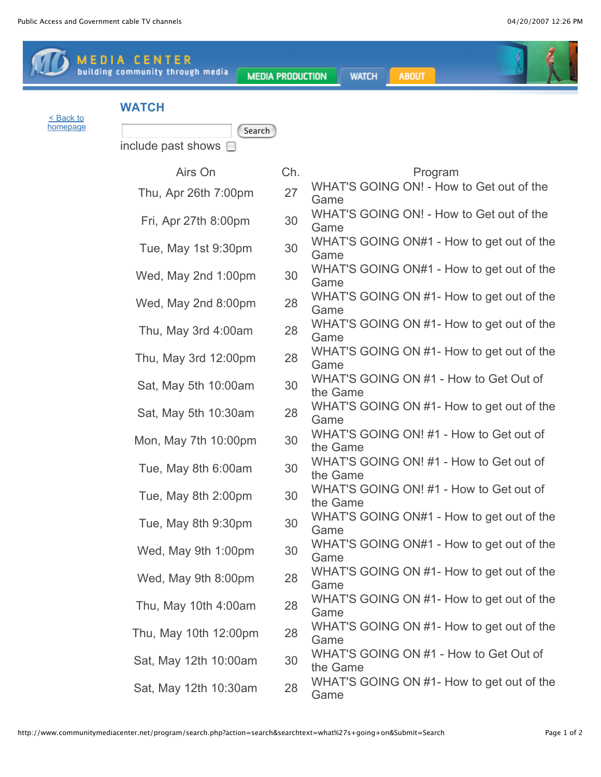$\sqrt{2}$ 

**State** 

|           | <b>MEDIA CENTER</b><br>building community through media | <b>MEDIA PRODUCTION</b> | <b>WATCH</b><br><b>ABOUT</b>                        |
|-----------|---------------------------------------------------------|-------------------------|-----------------------------------------------------|
| < Back to | <b>WATCH</b>                                            |                         |                                                     |
| homepage  | Search<br>include past shows $\Box$                     |                         |                                                     |
|           | Airs On                                                 | Ch.                     | Program                                             |
|           | Thu, Apr 26th 7:00pm                                    | 27                      | WHAT'S GOING ON! - How to Get out of the<br>Game    |
|           | Fri, Apr 27th 8:00pm                                    | 30                      | WHAT'S GOING ON! - How to Get out of the<br>Game    |
|           | Tue, May 1st 9:30pm                                     | 30                      | WHAT'S GOING ON#1 - How to get out of the<br>Game   |
|           | Wed, May 2nd 1:00pm                                     | 30                      | WHAT'S GOING ON#1 - How to get out of the<br>Game   |
|           | Wed, May 2nd 8:00pm                                     | 28                      | WHAT'S GOING ON #1- How to get out of the<br>Game   |
|           | Thu, May 3rd 4:00am                                     | 28                      | WHAT'S GOING ON #1- How to get out of the<br>Game   |
|           | Thu, May 3rd 12:00pm                                    | 28                      | WHAT'S GOING ON #1- How to get out of the<br>Game   |
|           | Sat, May 5th 10:00am                                    | 30                      | WHAT'S GOING ON #1 - How to Get Out of<br>the Game  |
|           | Sat, May 5th 10:30am                                    | 28                      | WHAT'S GOING ON #1- How to get out of the<br>Game   |
|           | Mon, May 7th 10:00pm                                    | 30                      | WHAT'S GOING ON! #1 - How to Get out of<br>the Game |
|           | Tue, May 8th 6:00am                                     | 30                      | WHAT'S GOING ON! #1 - How to Get out of<br>the Game |
|           | Tue, May 8th 2:00pm                                     | 30                      | WHAT'S GOING ON! #1 - How to Get out of<br>the Game |
|           | Tue, May 8th 9:30pm                                     | 30                      | WHAT'S GOING ON#1 - How to get out of the<br>Game   |
|           | Wed, May 9th 1:00pm                                     | 30                      | WHAT'S GOING ON#1 - How to get out of the<br>Game   |
|           | Wed, May 9th 8:00pm                                     | 28                      | WHAT'S GOING ON #1- How to get out of the<br>Game   |
|           | Thu, May 10th 4:00am                                    | 28                      | WHAT'S GOING ON #1- How to get out of the<br>Game   |
|           | Thu, May 10th 12:00pm                                   | 28                      | WHAT'S GOING ON #1- How to get out of the<br>Game   |
|           | Sat, May 12th 10:00am                                   | 30                      | WHAT'S GOING ON #1 - How to Get Out of<br>the Game  |
|           | Sat, May 12th 10:30am                                   | 28                      | WHAT'S GOING ON #1- How to get out of the<br>Game   |